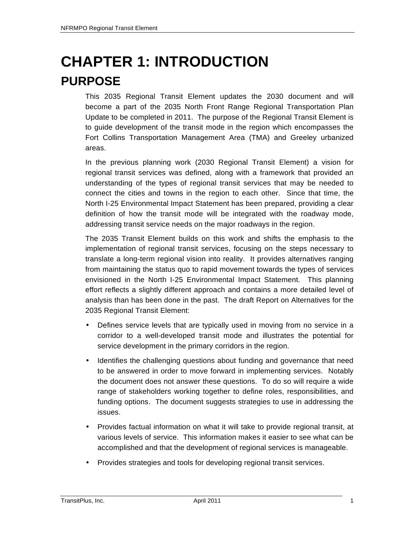# **CHAPTER 1: INTRODUCTION PURPOSE**

This 2035 Regional Transit Element updates the 2030 document and will become a part of the 2035 North Front Range Regional Transportation Plan Update to be completed in 2011. The purpose of the Regional Transit Element is to guide development of the transit mode in the region which encompasses the Fort Collins Transportation Management Area (TMA) and Greeley urbanized areas.

In the previous planning work (2030 Regional Transit Element) a vision for regional transit services was defined, along with a framework that provided an understanding of the types of regional transit services that may be needed to connect the cities and towns in the region to each other. Since that time, the North I-25 Environmental Impact Statement has been prepared, providing a clear definition of how the transit mode will be integrated with the roadway mode, addressing transit service needs on the major roadways in the region.

The 2035 Transit Element builds on this work and shifts the emphasis to the implementation of regional transit services, focusing on the steps necessary to translate a long-term regional vision into reality. It provides alternatives ranging from maintaining the status quo to rapid movement towards the types of services envisioned in the North I-25 Environmental Impact Statement. This planning effort reflects a slightly different approach and contains a more detailed level of analysis than has been done in the past. The draft Report on Alternatives for the 2035 Regional Transit Element:

- Defines service levels that are typically used in moving from no service in a corridor to a well-developed transit mode and illustrates the potential for service development in the primary corridors in the region.
- Identifies the challenging questions about funding and governance that need to be answered in order to move forward in implementing services. Notably the document does not answer these questions. To do so will require a wide range of stakeholders working together to define roles, responsibilities, and funding options. The document suggests strategies to use in addressing the issues.
- Provides factual information on what it will take to provide regional transit, at various levels of service. This information makes it easier to see what can be accomplished and that the development of regional services is manageable.
- Provides strategies and tools for developing regional transit services.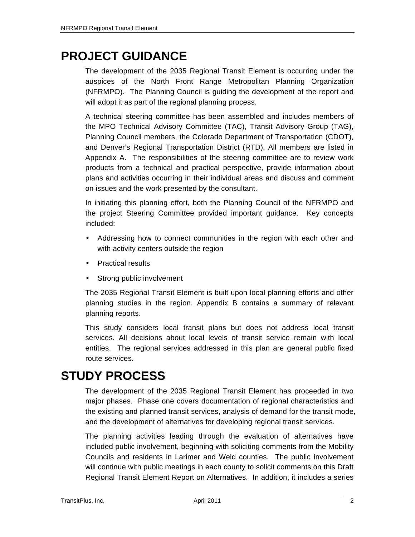## **PROJECT GUIDANCE**

The development of the 2035 Regional Transit Element is occurring under the auspices of the North Front Range Metropolitan Planning Organization (NFRMPO). The Planning Council is guiding the development of the report and will adopt it as part of the regional planning process.

A technical steering committee has been assembled and includes members of the MPO Technical Advisory Committee (TAC), Transit Advisory Group (TAG), Planning Council members, the Colorado Department of Transportation (CDOT), and Denver's Regional Transportation District (RTD). All members are listed in Appendix A. The responsibilities of the steering committee are to review work products from a technical and practical perspective, provide information about plans and activities occurring in their individual areas and discuss and comment on issues and the work presented by the consultant.

In initiating this planning effort, both the Planning Council of the NFRMPO and the project Steering Committee provided important guidance. Key concepts included:

- Addressing how to connect communities in the region with each other and with activity centers outside the region
- Practical results
- Strong public involvement

The 2035 Regional Transit Element is built upon local planning efforts and other planning studies in the region. Appendix B contains a summary of relevant planning reports.

This study considers local transit plans but does not address local transit services. All decisions about local levels of transit service remain with local entities. The regional services addressed in this plan are general public fixed route services.

### **STUDY PROCESS**

The development of the 2035 Regional Transit Element has proceeded in two major phases. Phase one covers documentation of regional characteristics and the existing and planned transit services, analysis of demand for the transit mode, and the development of alternatives for developing regional transit services.

The planning activities leading through the evaluation of alternatives have included public involvement, beginning with soliciting comments from the Mobility Councils and residents in Larimer and Weld counties. The public involvement will continue with public meetings in each county to solicit comments on this Draft Regional Transit Element Report on Alternatives. In addition, it includes a series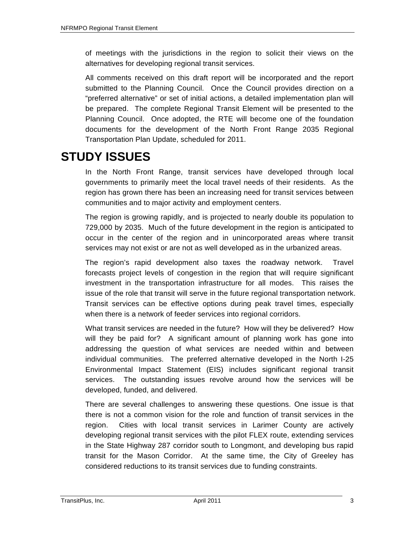of meetings with the jurisdictions in the region to solicit their views on the alternatives for developing regional transit services.

All comments received on this draft report will be incorporated and the report submitted to the Planning Council. Once the Council provides direction on a "preferred alternative" or set of initial actions, a detailed implementation plan will be prepared. The complete Regional Transit Element will be presented to the Planning Council. Once adopted, the RTE will become one of the foundation documents for the development of the North Front Range 2035 Regional Transportation Plan Update, scheduled for 2011.

# **STUDY ISSUES**

In the North Front Range, transit services have developed through local governments to primarily meet the local travel needs of their residents. As the region has grown there has been an increasing need for transit services between communities and to major activity and employment centers.

The region is growing rapidly, and is projected to nearly double its population to 729,000 by 2035. Much of the future development in the region is anticipated to occur in the center of the region and in unincorporated areas where transit services may not exist or are not as well developed as in the urbanized areas.

The region's rapid development also taxes the roadway network. Travel forecasts project levels of congestion in the region that will require significant investment in the transportation infrastructure for all modes. This raises the issue of the role that transit will serve in the future regional transportation network. Transit services can be effective options during peak travel times, especially when there is a network of feeder services into regional corridors.

What transit services are needed in the future? How will they be delivered? How will they be paid for? A significant amount of planning work has gone into addressing the question of what services are needed within and between individual communities. The preferred alternative developed in the North I-25 Environmental Impact Statement (EIS) includes significant regional transit services. The outstanding issues revolve around how the services will be developed, funded, and delivered.

There are several challenges to answering these questions. One issue is that there is not a common vision for the role and function of transit services in the region. Cities with local transit services in Larimer County are actively developing regional transit services with the pilot FLEX route, extending services in the State Highway 287 corridor south to Longmont, and developing bus rapid transit for the Mason Corridor. At the same time, the City of Greeley has considered reductions to its transit services due to funding constraints.